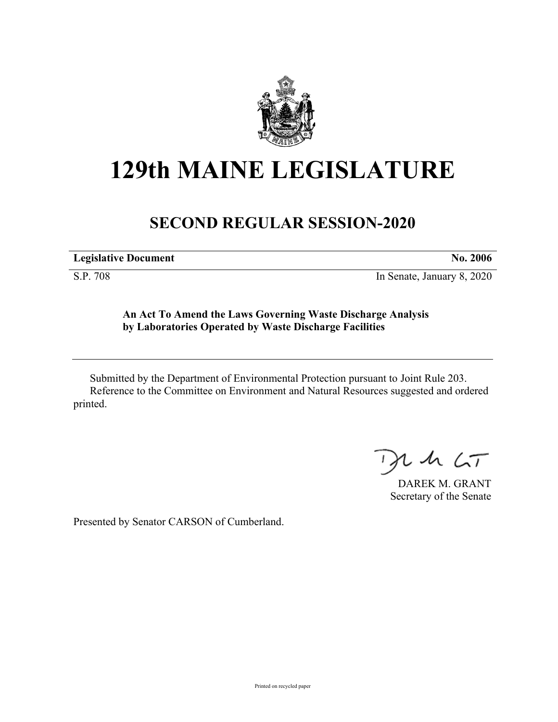

## **129th MAINE LEGISLATURE**

## **SECOND REGULAR SESSION-2020**

**Legislative Document No. 2006**

S.P. 708 In Senate, January 8, 2020

**An Act To Amend the Laws Governing Waste Discharge Analysis by Laboratories Operated by Waste Discharge Facilities**

Submitted by the Department of Environmental Protection pursuant to Joint Rule 203. Reference to the Committee on Environment and Natural Resources suggested and ordered printed.

 $425$ 

DAREK M. GRANT Secretary of the Senate

Presented by Senator CARSON of Cumberland.